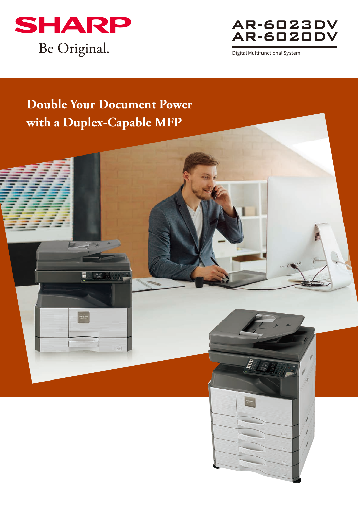



Digital Multifunctional System

# **Double Your Document Power with a Duplex-Capable MFP**

E **I** EX

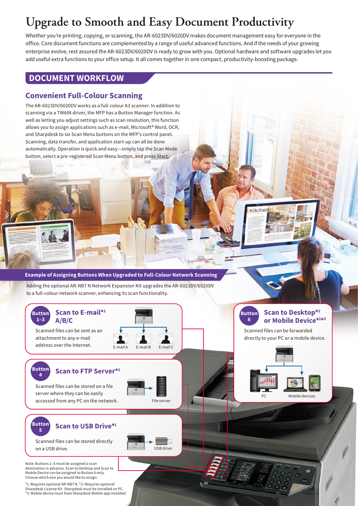## **Upgrade to Smooth and Easy Document Productivity**

Whether you're printing, copying, or scanning, the AR-6023DV/6020DV makes document management easy for everyone in the office. Core document functions are complemented by a range of useful advanced functions. And if the needs of your growing enterprise evolve, rest assured the AR-6023DV/6020DV is ready to grow with you. Optional hardware and software upgrades let you add useful extra functions to your office setup. It all comes together in one compact, productivity-boosting package.

#### **DOCUMENT WORKFLOW**

#### **Convenient Full-Colour Scanning**

The AR-6023DV/6020DV works as a full-colour A3 scanner. In addition to scanning via a TWAIN driver, the MFP has a Button Manager function. As well as letting you adjust settings such as scan resolution, this function allows you to assign applications such as e-mail, Microsoft® Word, OCR, and Sharpdesk to six Scan Menu buttons on the MFP's control panel. Scanning, data transfer, and application start-up can all be done automatically. Operation is quick and easy—simply tap the Scan Mode button, select a pre-registered Scan Menu button, and press Start.

#### **Example of Assigning Buttons When Upgraded to Full-Colour Network Scanning**

Adding the optional AR-NB7 N Network Expansion Kit upgrades the AR-6023DV/6020DV to a full-colour network scanner, enhancing its scan functionality.



Scanned files can be sent as an attachment to any e-mail address over the Internet.  $E_{\text{-mail A}}$   $E_{\text{-mail B}}$   $E_{\text{-mail C}}$ 



#### **<sup>4</sup> Scan to FTP Server\*1**

Scanned files can be stored on a file server where they can be easily accessed from any PC on the network.



USB drive

#### **Button 6 Scan to Desktop\*2 or Mobile Device\*1 \*3**

citcher

Scanned files can be forwarded directly to your PC or a mobile device.



**Button <sup>5</sup> Scan to USB Drive\*1**

**Button**

## Scanned files can be stored directly

on a USB drive.

Note: Buttons 1–6 must be assigned a scan destination in advance. Scan to Desktop and Scan to Mobile Device can be assigned to Button 6 only. Choose which one you would like to assign.

\*1: Requires optional AR-NB7 N. \*2: Requires optional Sharpdesk License Kit. Sharpdesk must be installed on PC. \*3: Mobile device must have Sharpdesk Mobile app installed.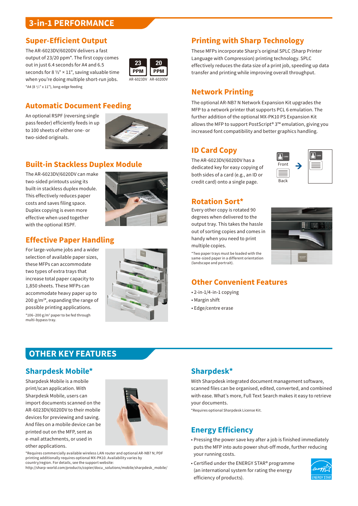### **3-in-1 PERFORMANCE**

#### **Super-Efficient Output**

The AR-6023DV/6020DV delivers a fast output of 23/20 ppm\*. The first copy comes out in just 6.4 seconds for A4 and 6.5 seconds for 8  $\frac{1}{2}$ " × 11", saving valuable time when you're doing multiple short-run jobs. \*A4 (8 1 /2" x 11"), long-edge feeding



#### **Automatic Document Feeding**

An optional RSPF (reversing single pass feeder) efficiently feeds in up to 100 sheets of either one- or two-sided originals.



## **Built-in Stackless Duplex Module**

The AR-6023DV/6020DV can make two-sided printouts using its built-in stackless duplex module. This effectively reduces paper costs and saves filing space. Duplex copying is even more effective when used together with the optional RSPF.



## **Effective Paper Handling**

For large-volume jobs and a wider selection of available paper sizes, these MFPs can accommodate two types of extra trays that increase total paper capacity to 1,850 sheets. These MFPs can accommodate heavy paper up to 200  $g/m^{2*}$ , expanding the range of possible printing applications.  $*106 - 200$  g/m<sup>2</sup> paper to be fed through multi-bypass tray.



### **Printing with Sharp Technology**

These MFPs incorporate Sharp's original SPLC (Sharp Printer Language with Compression) printing technology. SPLC effectively reduces the data size of a print job, speeding up data transfer and printing while improving overall throughput.

#### **Network Printing**

The optional AR-NB7 N Network Expansion Kit upgrades the MFP to a network printer that supports PCL 6 emulation. The further addition of the optional MX-PK10 PS Expansion Kit allows the MFP to support PostScript® 3™ emulation, giving you increased font compatibility and better graphics handling.

#### **ID Card Copy**

The AR-6023DV/6020DV has a dedicated key for easy copying of both sides of a card (e.g., an ID or credit card) onto a single page.



#### **Rotation Sort\***

Every other copy is rotated 90 degrees when delivered to the output tray. This takes the hassle out of sorting copies and comes in handy when you need to print multiple copies.

\*Two paper trays must be loaded with the same-sized paper in a different orientation (landscape and portrait).



#### **Other Convenient Features**

- 2-in-1/4-in-1 copying
- Margin shift
- Edge/centre erase

## **OTHER KEY FEATURES**

#### **Sharpdesk Mobile\***

Sharpdesk Mobile is a mobile print/scan application. With Sharpdesk Mobile, users can import documents scanned on the AR-6023DV/6020DV to their mobile devices for previewing and saving. And files on a mobile device can be printed out on the MFP, sent as e-mail attachments, or used in other applications.



\*Requires commercially available wireless LAN router and optional AR-NB7 N; PDF printing additionally requires optional MX-PK10. Availability varies by country/region. For details, see the support website:

http://sharp-world.com/products/copier/docu\_solutions/mobile/sharpdesk\_mobile/

## **Sharpdesk\***

With Sharpdesk integrated document management software, scanned files can be organised, edited, converted, and combined with ease. What's more, Full Text Search makes it easy to retrieve your documents.

\*Requires optional Sharpdesk License Kit.

#### **Energy Efficiency**

- Pressing the power save key after a job is finished immediately puts the MFP into auto power shut-off mode, further reducing your running costs.
- Certified under the ENERGY STAR® programme (an international system for rating the energy efficiency of products).